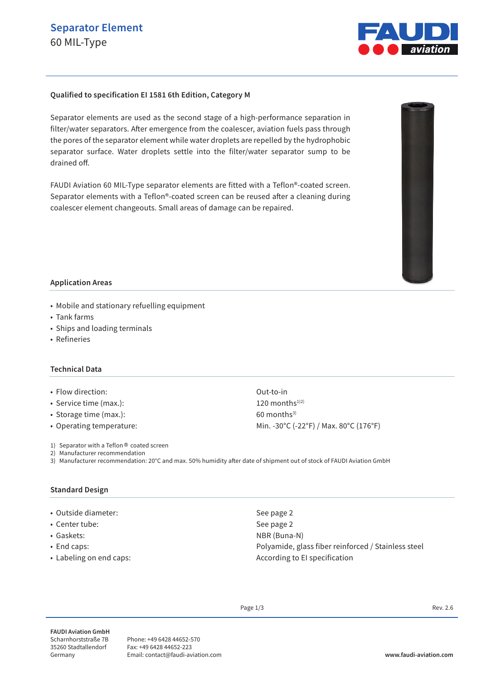# **Separator Element** 60 MIL-Type



#### **Qualified to specification EI 1581 6th Edition, Category M**

Separator elements are used as the second stage of a high-performance separation in filter/water separators. After emergence from the coalescer, aviation fuels pass through the pores of the separator element while water droplets are repelled by the hydrophobic separator surface. Water droplets settle into the filter/water separator sump to be drained off.

FAUDI Aviation 60 MIL-Type separator elements are fitted with a Teflon®-coated screen. Separator elements with a Teflon®-coated screen can be reused after a cleaning during coalescer element changeouts. Small areas of damage can be repaired.



- Mobile and stationary refuelling equipment
- Tank farms
- Ships and loading terminals
- Refineries

#### **Technical Data**

- Flow direction: Out-to-in
- Service time (max.): 120 months<sup>1)2)</sup>
- Storage time  $(max.)$ : 60 months<sup>3)</sup>
- 

• Operating temperature: Min. -30°C (-22°F) / Max. 80°C (176°F)

- 1) Separator with a Teflon® coated screen
- 2) Manufacturer recommendation
- 3) Manufacturer recommendation: 20°C and max. 50% humidity after date of shipment out of stock of FAUDI Aviation GmbH

## **Standard Design**

- Outside diameter: See page 2
- Center tube: See page 2
- 
- 
- 

• Gaskets: NBR (Buna-N) • End caps: Polyamide, glass fiber reinforced / Stainless steel • Labeling on end caps:  $\overline{\phantom{a}}$  According to EI specification

Page  $1/3$  Rev. 2.6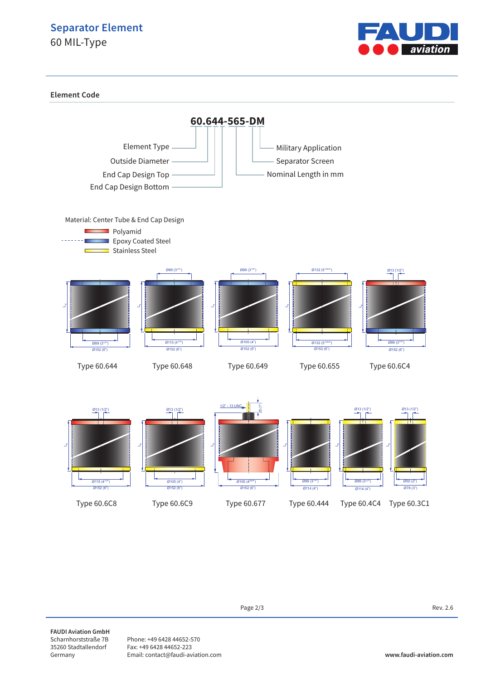## **Separator Element**

60 MIL-Type



**Element Code**



**FAUDI Aviation GmbH** Scharnhorststraße 7B 35260 Stadtallendorf Germany

Phone: +49 6428 44652-570 Fax: +49 6428 44652-223 Email: contact@faudi-aviation.com **www.faudi-aviation.com**